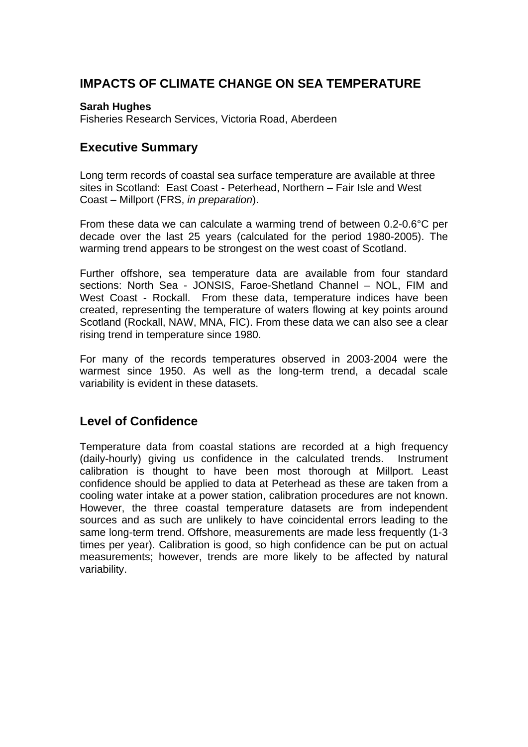# **IMPACTS OF CLIMATE CHANGE ON SEA TEMPERATURE**

#### **Sarah Hughes**

Fisheries Research Services, Victoria Road, Aberdeen

## **Executive Summary**

Long term records of coastal sea surface temperature are available at three sites in Scotland: East Coast - Peterhead, Northern – Fair Isle and West Coast – Millport (FRS, *in preparation*).

From these data we can calculate a warming trend of between 0.2-0.6°C per decade over the last 25 years (calculated for the period 1980-2005). The warming trend appears to be strongest on the west coast of Scotland.

Further offshore, sea temperature data are available from four standard sections: North Sea - JONSIS, Faroe-Shetland Channel – NOL, FIM and West Coast - Rockall. From these data, temperature indices have been created, representing the temperature of waters flowing at key points around Scotland (Rockall, NAW, MNA, FIC). From these data we can also see a clear rising trend in temperature since 1980.

For many of the records temperatures observed in 2003-2004 were the warmest since 1950. As well as the long-term trend, a decadal scale variability is evident in these datasets.

## **Level of Confidence**

Temperature data from coastal stations are recorded at a high frequency (daily-hourly) giving us confidence in the calculated trends. Instrument calibration is thought to have been most thorough at Millport. Least confidence should be applied to data at Peterhead as these are taken from a cooling water intake at a power station, calibration procedures are not known. However, the three coastal temperature datasets are from independent sources and as such are unlikely to have coincidental errors leading to the same long-term trend. Offshore, measurements are made less frequently (1-3 times per year). Calibration is good, so high confidence can be put on actual measurements; however, trends are more likely to be affected by natural variability.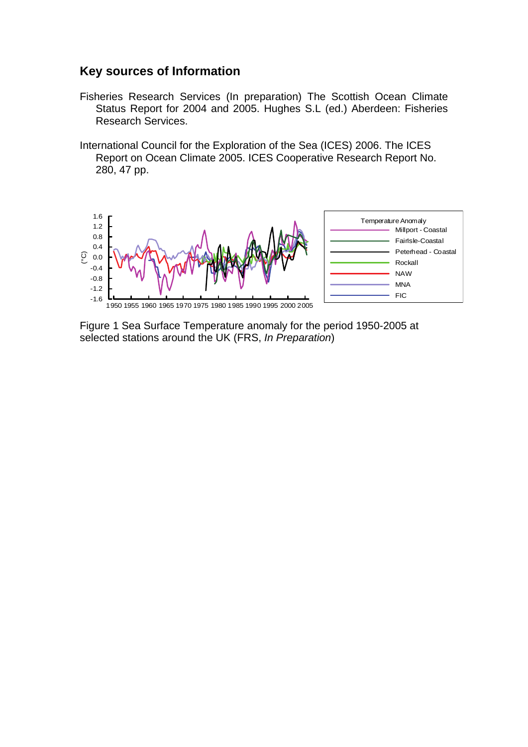#### **Key sources of Information**

- Fisheries Research Services (In preparation) The Scottish Ocean Climate Status Report for 2004 and 2005. Hughes S.L (ed.) Aberdeen: Fisheries Research Services.
- International Council for the Exploration of the Sea (ICES) 2006. The ICES Report on Ocean Climate 2005. ICES Cooperative Research Report No. 280, 47 pp.



Figure 1 Sea Surface Temperature anomaly for the period 1950-2005 at selected stations around the UK (FRS, *In Preparation*)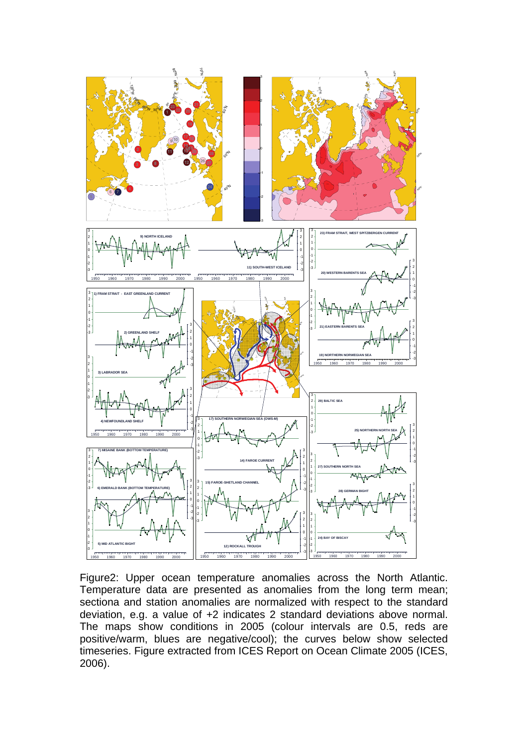

Figure2: Upper ocean temperature anomalies across the North Atlantic. Temperature data are presented as anomalies from the long term mean; sectiona and station anomalies are normalized with respect to the standard deviation, e.g. a value of +2 indicates 2 standard deviations above normal. The maps show conditions in 2005 (colour intervals are 0.5, reds are positive/warm, blues are negative/cool); the curves below show selected timeseries. Figure extracted from ICES Report on Ocean Climate 2005 (ICES, 2006).